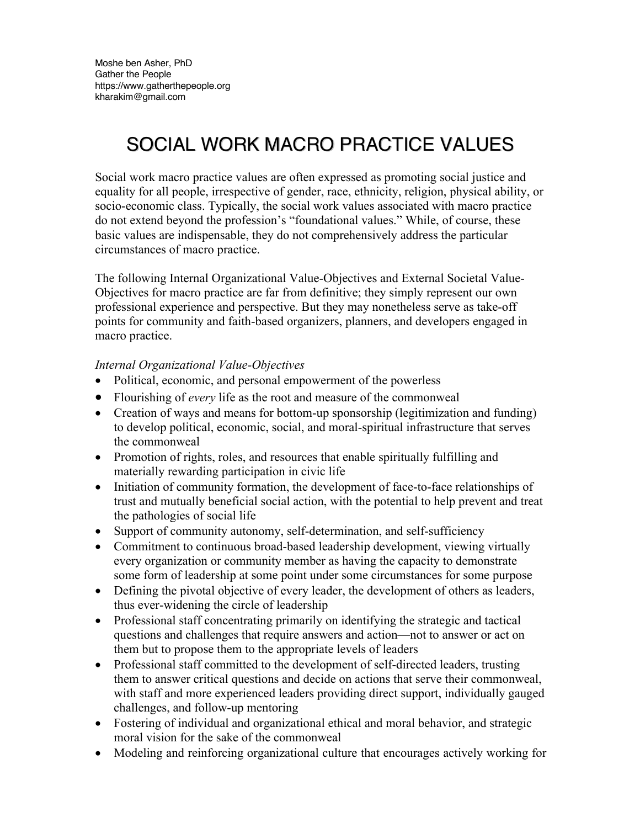## SOCIAL WORK MACRO PRACTICE VALUES

Social work macro practice values are often expressed as promoting social justice and equality for all people, irrespective of gender, race, ethnicity, religion, physical ability, or socio-economic class. Typically, the social work values associated with macro practice do not extend beyond the profession's "foundational values." While, of course, these basic values are indispensable, they do not comprehensively address the particular circumstances of macro practice.

The following Internal Organizational Value-Objectives and External Societal Value-Objectives for macro practice are far from definitive; they simply represent our own professional experience and perspective. But they may nonetheless serve as take-off points for community and faith-based organizers, planners, and developers engaged in macro practice.

## *Internal Organizational Value-Objectives*

- Political, economic, and personal empowerment of the powerless
- Flourishing of *every* life as the root and measure of the commonweal
- Creation of ways and means for bottom-up sponsorship (legitimization and funding) to develop political, economic, social, and moral-spiritual infrastructure that serves the commonweal
- Promotion of rights, roles, and resources that enable spiritually fulfilling and materially rewarding participation in civic life
- Initiation of community formation, the development of face-to-face relationships of trust and mutually beneficial social action, with the potential to help prevent and treat the pathologies of social life
- Support of community autonomy, self-determination, and self-sufficiency
- Commitment to continuous broad-based leadership development, viewing virtually every organization or community member as having the capacity to demonstrate some form of leadership at some point under some circumstances for some purpose
- Defining the pivotal objective of every leader, the development of others as leaders, thus ever-widening the circle of leadership
- Professional staff concentrating primarily on identifying the strategic and tactical questions and challenges that require answers and action—not to answer or act on them but to propose them to the appropriate levels of leaders
- Professional staff committed to the development of self-directed leaders, trusting them to answer critical questions and decide on actions that serve their commonweal, with staff and more experienced leaders providing direct support, individually gauged challenges, and follow-up mentoring
- Fostering of individual and organizational ethical and moral behavior, and strategic moral vision for the sake of the commonweal
- Modeling and reinforcing organizational culture that encourages actively working for